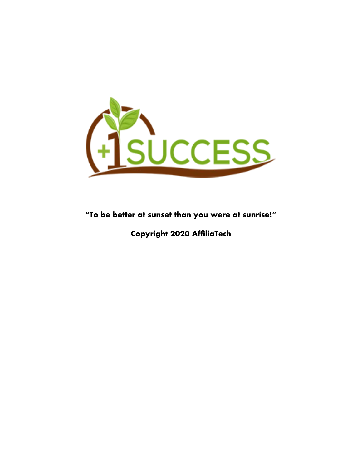

**"To be better at sunset than you were at sunrise!"**

**Copyright 2020 AffliaTech**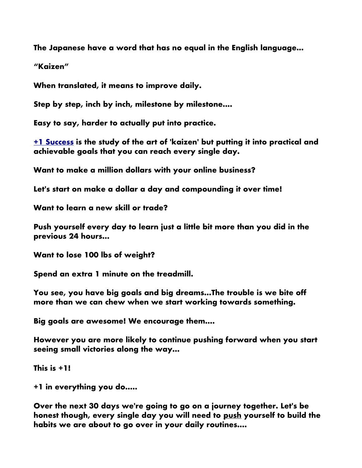**The Japanese have a word that has no equal in the English language...**

**"Kaizen"**

**When translated, it means to improve daily.** 

**Step by step, inch by inch, milestone by milestone....**

**Easy to say, harder to actually put into practice.**

**[+1 Success](https://plus1success.com/hodgeinoz) is the study of the art of 'kaizen' but putting it into practical and achievable goals that you can reach every single day.**

**Want to make a million dollars with your online business?**

**Let's start on make a dollar a day and compounding it over time!**

**Want to learn a new skill or trade?**

**Push yourself every day to learn just a little bit more than you did in the previous 24 hours...**

**Want to lose 100 lbs of weight?**

**Spend an extra 1 minute on the treadmill.**

**You see, you have big goals and big dreams...The trouble is we bite off more than we can chew when we start working towards something.**

**Big goals are awesome! We encourage them....**

**However you are more likely to continue pushing forward when you start seeing small victories along the way...**

**This is +1!**

**+1 in everything you do.....**

**Over the next 30 days we're going to go on a journey together. Let's be honest though, every single day you will need to push yourself to build the habits we are about to go over in your daily routines....**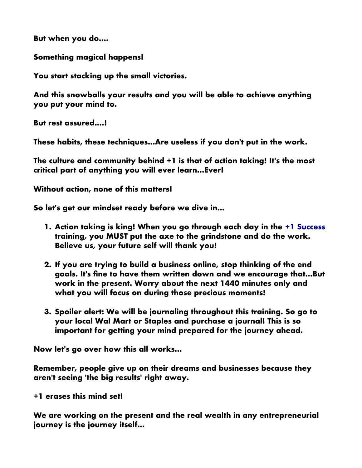**But when you do....**

**Something magical happens!**

**You start stacking up the small victories.**

**And this snowballs your results and you will be able to achieve anything you put your mind to.**

**But rest assured....!**

**These habits, these techniques...Are useless if you don't put in the work.**

**The culture and community behind +1 is that of action taking! It's the most critical part of anything you will ever learn...Ever!**

**Without action, none of this matters!**

**So let's get our mindset ready before we dive in...**

- **1. Action taking is king! When you go through each day in the [+1 Success](https://plus1success.com/hodgeinoz) training, you MUST put the axe to the grindstone and do the work. Believe us, your future self will thank you!**
- **2. If you are trying to build a business online, stop thinking of the end goals. It's fne to have them written down and we encourage that...But work in the present. Worry about the next 1440 minutes only and what you will focus on during those precious moments!**
- **3. Spoiler alert: We will be journaling throughout this training. So go to your local Wal Mart or Staples and purchase a journal! This is so important for getting your mind prepared for the journey ahead.**

**Now let's go over how this all works...**

**Remember, people give up on their dreams and businesses because they aren't seeing 'the big results' right away.**

**+1 erases this mind set!**

**We are working on the present and the real wealth in any entrepreneurial journey is the journey itself...**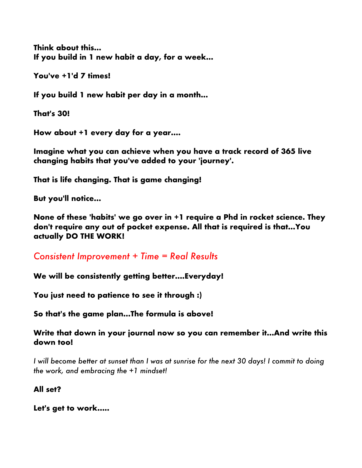**Think about this... If you build in 1 new habit a day, for a week...**

**You've +1'd 7 times!**

**If you build 1 new habit per day in a month...**

**That's 30!**

**How about +1 every day for a year....**

**Imagine what you can achieve when you have a track record of 365 live changing habits that you've added to your 'journey'.**

**That is life changing. That is game changing!**

**But you'll notice...**

**None of these 'habits' we go over in +1 require a Phd in rocket science. They don't require any out of pocket expense. All that is required is that...You actually DO THE WORK!**

*Consistent Improvement + Time = Real Results*

**We will be consistently getting better....Everyday!**

**You just need to patience to see it through :)**

**So that's the game plan...The formula is above!** 

**Write that down in your journal now so you can remember it...And write this down too!**

*I will become better at sunset than I was at sunrise for the next 30 days! I commit to doing the work, and embracing the +1 mindset!*

**All set?**

**Let's get to work.....**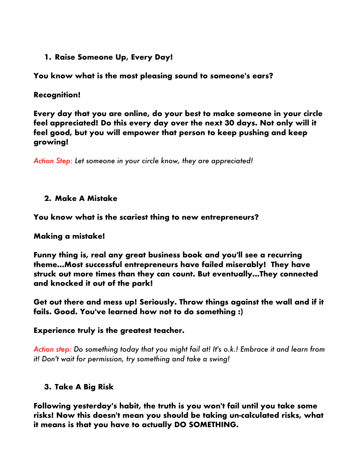**1. Raise Someone Up, Every Day!**

**You know what is the most pleasing sound to someone's ears?**

# **Recognition!**

**Every day that you are online, do your best to make someone in your circle feel appreciated! Do this every day over the next 30 days. Not only will it feel good, but you will empower that person to keep pushing and keep growing!**

*Action Step: Let someone in your circle know, they are appreciated!*

# **2. Make A Mistake**

**You know what is the scariest thing to new entrepreneurs?**

# **Making a mistake!**

**Funny thing is, real any great business book and you'll see a recurring theme...Most successful entrepreneurs have failed miserably! They have struck out more times than they can count. But eventually...They connected and knocked it out of the park!**

**Get out there and mess up! Seriously. Throw things against the wall and if it fails. Good. You've learned how not to do something :)**

# **Experience truly is the greatest teacher.**

*Action step: Do something today that you might fail at! It's o.k.! Embrace it and learn from it! Don't wait for permission, try something and take a swing!*

# **3. Take A Big Risk**

**Following yesterday's habit, the truth is you won't fail until you take some risks! Now this doesn't mean you should be taking un-calculated risks, what it means is that you have to actually DO SOMETHING.**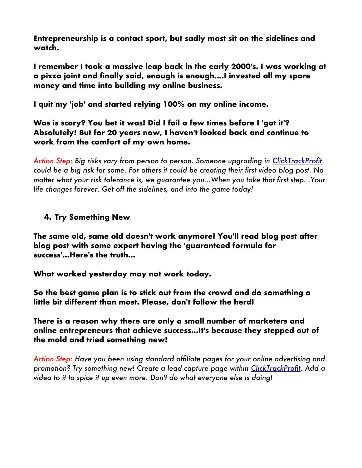**Entrepreneurship is a contact sport, but sadly most sit on the sidelines and watch.** 

**I remember I took a massive leap back in the early 2000's. I was working at a pizza joint and fnally said, enough is enough....I invested all my spare money and time into building my online business.**

**I quit my 'job' and started relying 100% on my online income.**

**Was is scary? You bet it was! Did I fail a few times before I 'got it'? Absolutely! But for 20 years now, I haven't looked back and continue to work from the comfort of my own home.**

*Action Step: Big risks vary from person to person. Someone upgrading in [ClickTrackProft](https://clicktrackprofit.com/hodgetts) could be a big risk for some. For others it could be creating their frst video blog post. No matter what your risk tolerance is, we guarantee you...When you take that frst step...Your life changes forever. Get off the sidelines, and into the game today!*

# **4. Try Something New**

**The same old, same old doesn't work anymore! You'll read blog post after blog post with some expert having the 'guaranteed formula for success'...Here's the truth...**

**What worked yesterday may not work today.**

**So the best game plan is to stick out from the crowd and do something a little bit different than most. Please, don't follow the herd!**

**There is a reason why there are only a small number of marketers and online entrepreneurs that achieve success...It's because they stepped out of the mold and tried something new!**

*Action Step: Have you been using standard affliate pages for your online advertising and promotion? Try something new! Create a lead capture page within [ClickTrackProft.](https://clicktrackprofit.com/hodgetts) Add a video to it to spice it up even more. Don't do what everyone else is doing!*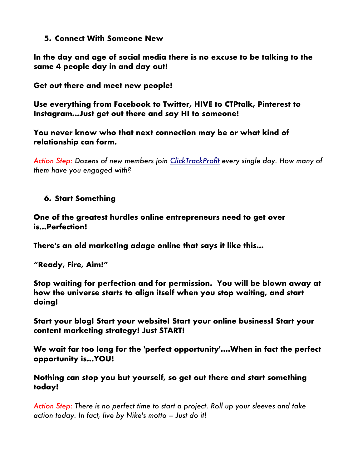#### **5. Connect With Someone New**

**In the day and age of social media there is no excuse to be talking to the same 4 people day in and day out!**

**Get out there and meet new people!**

**Use everything from Facebook to Twitter, HIVE to CTPtalk, Pinterest to Instagram...Just get out there and say HI to someone!**

**You never know who that next connection may be or what kind of relationship can form.**

*Action Step: Dozens of new members join [ClickTrackProft](https://clicktrackprofit.com/hodgetts) every single day. How many of them have you engaged with?*

#### **6. Start Something**

**One of the greatest hurdles online entrepreneurs need to get over is...Perfection!**

**There's an old marketing adage online that says it like this...**

**"Ready, Fire, Aim!"**

**Stop waiting for perfection and for permission. You will be blown away at how the universe starts to align itself when you stop waiting, and start doing!**

**Start your blog! Start your website! Start your online business! Start your content marketing strategy! Just START!**

**We wait far too long for the 'perfect opportunity'....When in fact the perfect opportunity is...YOU!**

**Nothing can stop you but yourself, so get out there and start something today!**

*Action Step: There is no perfect time to start a project. Roll up your sleeves and take action today. In fact, live by Nike's motto – Just do it!*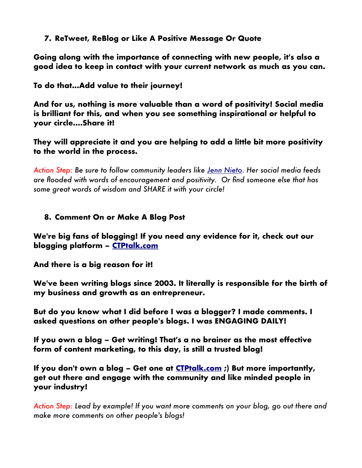### **7. ReTweet, ReBlog or Like A Positive Message Or Quote**

**Going along with the importance of connecting with new people, it's also a good idea to keep in contact with your current network as much as you can.**

**To do that...Add value to their journey!**

**And for us, nothing is more valuable than a word of positivity! Social media is brilliant for this, and when you see something inspirational or helpful to your circle....Share it!**

**They will appreciate it and you are helping to add a little bit more positivity to the world in the process.** 

*Action Step: Be sure to follow community leaders like [Jenn Nieto.](https://www.ctptalk.com/pixiepost) Her social media feeds are fooded with words of encouragement and positivity. Or fnd someone else that has some great words of wisdom and SHARE it with your circle!*

### **8. Comment On or Make A Blog Post**

**We're big fans of blogging! If you need any evidence for it, check out our blogging platform – [CTPtalk.com](https://www.ctptalk.com/@markhodge)**

**And there is a big reason for it!**

**We've been writing blogs since 2003. It literally is responsible for the birth of my business and growth as an entrepreneur.** 

**But do you know what I did before I was a blogger? I made comments. I asked questions on other people's blogs. I was ENGAGING DAILY!**

**If you own a blog – Get writing! That's a no brainer as the most effective form of content marketing, to this day, is still a trusted blog!**

**If you don't own a blog – Get one at [CTPtalk.com](https://www.ctptalk.com/@markhodge) ;) But more importantly, get out there and engage with the community and like minded people in your industry!**

*Action Step: Lead by example! If you want more comments on your blog, go out there and make more comments on other people's blogs!*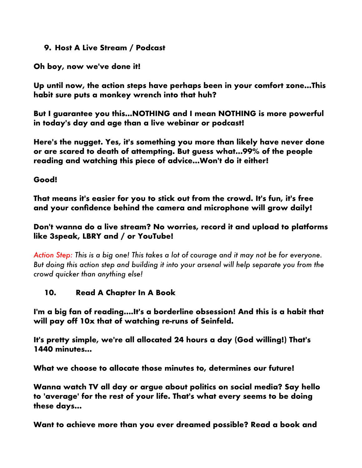#### **9. Host A Live Stream / Podcast**

**Oh boy, now we've done it!**

**Up until now, the action steps have perhaps been in your comfort zone...This habit sure puts a monkey wrench into that huh?**

**But I guarantee you this...NOTHING and I mean NOTHING is more powerful in today's day and age than a live webinar or podcast!**

**Here's the nugget. Yes, it's something you more than likely have never done or are scared to death of attempting. But guess what...99% of the people reading and watching this piece of advice...Won't do it either!**

### **Good!**

**That means it's easier for you to stick out from the crowd. It's fun, it's free and your confdence behind the camera and microphone will grow daily!**

### **Don't wanna do a live stream? No worries, record it and upload to platforms like 3speak, LBRY and / or YouTube!**

*Action Step: This is a big one! This takes a lot of courage and it may not be for everyone. But doing this action step and building it into your arsenal will help separate you from the crowd quicker than anything else!*

# **10. Read A Chapter In A Book**

**I'm a big fan of reading....It's a borderline obsession! And this is a habit that will pay off 10x that of watching re-runs of Seinfeld.**

**It's pretty simple, we're all allocated 24 hours a day (God willing!) That's 1440 minutes...**

**What we choose to allocate those minutes to, determines our future!**

**Wanna watch TV all day or argue about politics on social media? Say hello to 'average' for the rest of your life. That's what every seems to be doing these days...**

**Want to achieve more than you ever dreamed possible? Read a book and**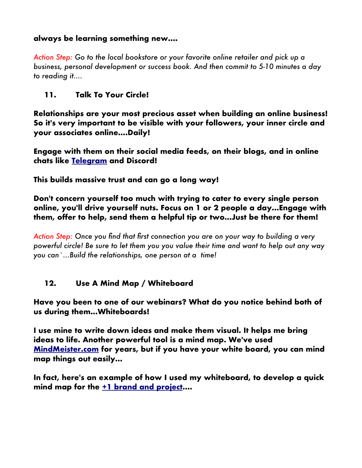### **always be learning something new....**

*Action Step: Go to the local bookstore or your favorite online retailer and pick up a business, personal development or success book. And then commit to 5-10 minutes a day to reading it....*

### **11. Talk To Your Circle!**

**Relationships are your most precious asset when building an online business! So it's very important to be visible with your followers, your inner circle and your associates online....Daily!**

**Engage with them on their social media feeds, on their blogs, and in online chats like [Telegram](https://t.me/joinchat/H0LeUAqPVYF1abiUNcmsCg) and Discord!**

**This builds massive trust and can go a long way!**

**Don't concern yourself too much with trying to cater to every single person online, you'll drive yourself nuts. Focus on 1 or 2 people a day...Engage with them, offer to help, send them a helpful tip or two...Just be there for them!**

*Action Step: Once you fnd that frst connection you are on your way to building a very powerful circle! Be sure to let them you you value their time and want to help out any way you can`...Build the relationships, one person at a time!*

#### **12. Use A Mind Map / Whiteboard**

**Have you been to one of our webinars? What do you notice behind both of us during them...Whiteboards!**

**I use mine to write down ideas and make them visual. It helps me bring ideas to life. Another powerful tool is a mind map. We've used [MindMeister.com](https://www.mindmeister.com/?r=869604) for years, but if you have your white board, you can mind map things out easily...**

**In fact, here's an example of how I used my whiteboard, to develop a quick mind map for the [+1 brand and project.](https://plus1success.com/hodgeinoz)...**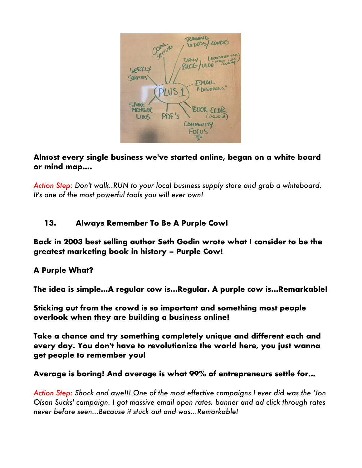

### **Almost every single business we've started online, began on a white board or mind map....**

*Action Step: Don't walk..RUN to your local business supply store and grab a whiteboard. It's one of the most powerful tools you will ever own!*

# **13. Always Remember To Be A Purple Cow!**

**Back in 2003 best selling author Seth Godin wrote what I consider to be the greatest marketing book in history – Purple Cow!**

# **A Purple What?**

**The idea is simple...A regular cow is...Regular. A purple cow is...Remarkable!**

**Sticking out from the crowd is so important and something most people overlook when they are building a business online!** 

**Take a chance and try something completely unique and different each and every day. You don't have to revolutionize the world here, you just wanna get people to remember you!**

#### **Average is boring! And average is what 99% of entrepreneurs settle for...**

*Action Step: Shock and awe!!! One of the most effective campaigns I ever did was the 'Jon Olson Sucks' campaign. I got massive email open rates, banner and ad click through rates never before seen...Because it stuck out and was...Remarkable!*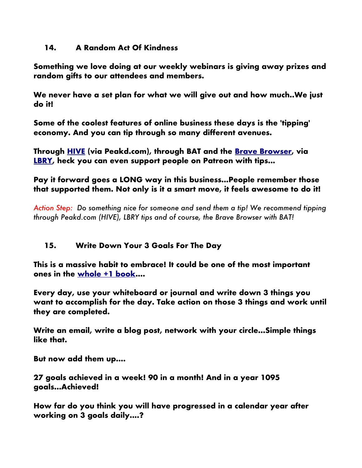#### **14. A Random Act Of Kindness**

**Something we love doing at our weekly webinars is giving away prizes and random gifts to our attendees and members.** 

**We never have a set plan for what we will give out and how much..We just do it!**

**Some of the coolest features of online business these days is the 'tipping' economy. And you can tip through so many different avenues.** 

**Through [HIVE](https://hiveonboard.com/create-account?ref=markhodge) (via Peakd.com), through BAT and the [Brave Browser,](https://brave.com/?ref=zyc937) via [LBRY,](https://lbry.tv/$/invite/@markhodgettsim) heck you can even support people on Patreon with tips...**

# **Pay it forward goes a LONG way in this business...People remember those that supported them. Not only is it a smart move, it feels awesome to do it!**

*Action Step: Do something nice for someone and send them a tip! We recommend tipping through Peakd.com (HIVE), LBRY tips and of course, the Brave Browser with BAT!*

# **15. Write Down Your 3 Goals For The Day**

**This is a massive habit to embrace! It could be one of the most important ones in the [whole +1 book.](https://plus1success.com/hodgeinoz)...**

**Every day, use your whiteboard or journal and write down 3 things you want to accomplish for the day. Take action on those 3 things and work until they are completed.**

**Write an email, write a blog post, network with your circle...Simple things like that.**

**But now add them up....**

**27 goals achieved in a week! 90 in a month! And in a year 1095 goals...Achieved!**

**How far do you think you will have progressed in a calendar year after working on 3 goals daily....?**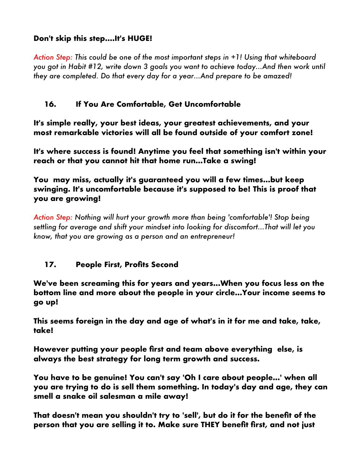# **Don't skip this step....It's HUGE!**

*Action Step: This could be one of the most important steps in +1! Using that whiteboard you got in Habit #12, write down 3 goals you want to achieve today...And then work until they are completed. Do that every day for a year...And prepare to be amazed!*

### **16. If You Are Comfortable, Get Uncomfortable**

**It's simple really, your best ideas, your greatest achievements, and your most remarkable victories will all be found outside of your comfort zone!**

**It's where success is found! Anytime you feel that something isn't within your reach or that you cannot hit that home run...Take a swing!**

**You may miss, actually it's guaranteed you will a few times...but keep swinging. It's uncomfortable because it's supposed to be! This is proof that you are growing!**

*Action Step: Nothing will hurt your growth more than being 'comfortable'! Stop being settling for average and shift your mindset into looking for discomfort...That will let you know, that you are growing as a person and an entrepreneur!*

# **17.** People First, Profits Second

**We've been screaming this for years and years...When you focus less on the bottom line and more about the people in your circle...Your income seems to go up!**

**This seems foreign in the day and age of what's in it for me and take, take, take!**

**However putting your people frst and team above everything else, is always the best strategy for long term growth and success.** 

**You have to be genuine! You can't say 'Oh I care about people...' when all you are trying to do is sell them something. In today's day and age, they can smell a snake oil salesman a mile away!**

**That doesn't mean you shouldn't try to 'sell', but do it for the beneft of the person that you are selling it to. Make sure THEY beneft frst, and not just**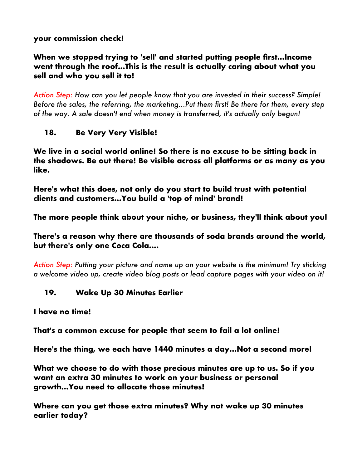### **your commission check!**

### When we stopped trying to 'sell' and started putting people first...Income **went through the roof...This is the result is actually caring about what you sell and who you sell it to!**

*Action Step: How can you let people know that you are invested in their success? Simple! Before the sales, the referring, the marketing...Put them frst! Be there for them, every step of the way. A sale doesn't end when money is transferred, it's actually only begun!*

# **18. Be Very Very Visible!**

**We live in a social world online! So there is no excuse to be sitting back in the shadows. Be out there! Be visible across all platforms or as many as you like.** 

**Here's what this does, not only do you start to build trust with potential clients and customers...You build a 'top of mind' brand!**

**The more people think about your niche, or business, they'll think about you!**

**There's a reason why there are thousands of soda brands around the world, but there's only one Coca Cola....**

*Action Step: Putting your picture and name up on your website is the minimum! Try sticking a welcome video up, create video blog posts or lead capture pages with your video on it!*

#### **19. Wake Up 30 Minutes Earlier**

**I have no time!**

**That's a common excuse for people that seem to fail a lot online!**

**Here's the thing, we each have 1440 minutes a day...Not a second more!**

**What we choose to do with those precious minutes are up to us. So if you want an extra 30 minutes to work on your business or personal growth...You need to allocate those minutes!**

**Where can you get those extra minutes? Why not wake up 30 minutes earlier today?**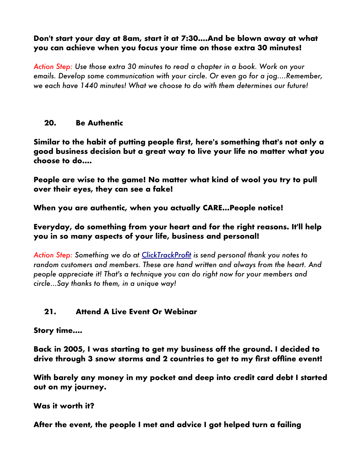#### **Don't start your day at 8am, start it at 7:30....And be blown away at what you can achieve when you focus your time on those extra 30 minutes!**

*Action Step: Use those extra 30 minutes to read a chapter in a book. Work on your emails. Develop some communication with your circle. Or even go for a jog....Remember, we each have 1440 minutes! What we choose to do with them determines our future!*

#### **20. Be Authentic**

**Similar to the habit of putting people frst, here's something that's not only a good business decision but a great way to live your life no matter what you choose to do....**

**People are wise to the game! No matter what kind of wool you try to pull over their eyes, they can see a fake!**

**When you are authentic, when you actually CARE...People notice!**

### **Everyday, do something from your heart and for the right reasons. It'll help you in so many aspects of your life, business and personal!**

*Action Step: Something we do at [ClickTrackProft](https://clicktrackprofit.com/hodgetts) is send personal thank you notes to random customers and members. These are hand written and always from the heart. And people appreciate it! That's a technique you can do right now for your members and circle...Say thanks to them, in a unique way!*

# **21. Attend A Live Event Or Webinar**

**Story time....**

**Back in 2005, I was starting to get my business off the ground. I decided to drive through 3 snow storms and 2 countries to get to my frst offine event!**

**With barely any money in my pocket and deep into credit card debt I started out on my journey.**

**Was it worth it?**

**After the event, the people I met and advice I got helped turn a failing**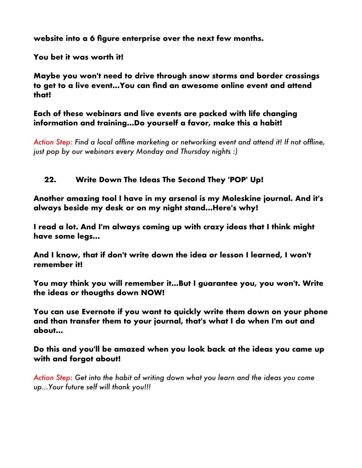**website into a 6 fgure enterprise over the next few months.**

**You bet it was worth it!**

**Maybe you won't need to drive through snow storms and border crossings to get to a live event...You can fnd an awesome online event and attend that!**

**Each of these webinars and live events are packed with life changing information and training...Do yourself a favor, make this a habit!**

*Action Step: Find a local offine marketing or networking event and attend it! If not offine, just pop by our webinars every Monday and Thursday nights :)*

# **22. Write Down The Ideas The Second They 'POP' Up!**

**Another amazing tool I have in my arsenal is my Moleskine journal. And it's always beside my desk or on my night stand...Here's why!**

**I read a lot. And I'm always coming up with crazy ideas that I think might have some legs...**

**And I know, that if don't write down the idea or lesson I learned, I won't remember it!**

**You may think you will remember it...But I guarantee you, you won't. Write the ideas or thougths down NOW!**

**You can use Evernote if you want to quickly write them down on your phone and than transfer them to your journal, that's what I do when I'm out and about...**

**Do this and you'll be amazed when you look back at the ideas you came up with and forgot about!**

*Action Step: Get into the habit of writing down what you learn and the ideas you come up...Your future self will thank you!!!*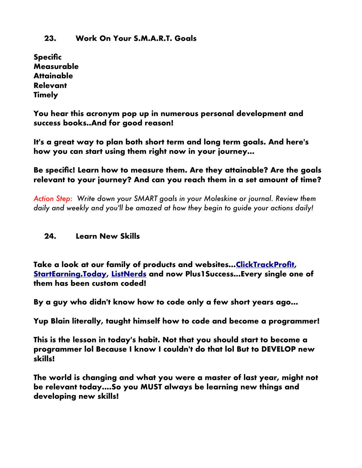#### **23. Work On Your S.M.A.R.T. Goals**

**Specifc Measurable Attainable Relevant Timely**

**You hear this acronym pop up in numerous personal development and success books..And for good reason!**

**It's a great way to plan both short term and long term goals. And here's how you can start using them right now in your journey...**

**Be specifc! Learn how to measure them. Are they attainable? Are the goals relevant to your journey? And can you reach them in a set amount of time?**

*Action Step: Write down your SMART goals in your Moleskine or journal. Review them daily and weekly and you'll be amazed at how they begin to guide your actions daily!*

#### **24. Learn New Skills**

**Take a look at our family of products and websites..[.ClickTrackProft,](https://clicktrackprofit.com/hodgetts) [StartEarning.Today,](https://startearning.today/hodgetts) [ListNerds](https://listnerds.com/?ref=profitsentinel) and now Plus1Success...Every single one of them has been custom coded!**

**By a guy who didn't know how to code only a few short years ago...**

**Yup Blain literally, taught himself how to code and become a programmer!**

**This is the lesson in today's habit. Not that you should start to become a programmer lol Because I know I couldn't do that lol But to DEVELOP new skills!**

**The world is changing and what you were a master of last year, might not be relevant today....So you MUST always be learning new things and developing new skills!**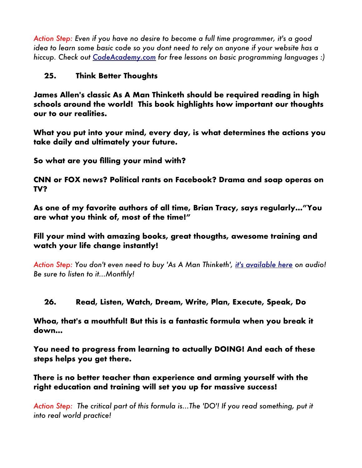*Action Step: Even if you have no desire to become a full time programmer, it's a good idea to learn some basic code so you dont need to rely on anyone if your website has a hiccup. Check out [CodeAcademy.com](https://www.codeacademy.com/) for free lessons on basic programming languages :)*

# **25. Think Better Thoughts**

**James Allen's classic As A Man Thinketh should be required reading in high schools around the world! This book highlights how important our thoughts our to our realities.**

**What you put into your mind, every day, is what determines the actions you take daily and ultimately your future.**

**So what are you flling your mind with?**

**CNN or FOX news? Political rants on Facebook? Drama and soap operas on TV?**

**As one of my favorite authors of all time, Brian Tracy, says regularly..."You are what you think of, most of the time!"**

**Fill your mind with amazing books, great thougths, awesome training and watch your life change instantly!**

*Action Step: You don't even need to buy 'As A Man Thinketh', [it's available here](https://www.youtube.com/watch?v=iEq0dMu9vpk) on audio! Be sure to listen to it...Monthly!*

#### **26. Read, Listen, Watch, Dream, Write, Plan, Execute, Speak, Do**

**Whoa, that's a mouthful! But this is a fantastic formula when you break it down...**

**You need to progress from learning to actually DOING! And each of these steps helps you get there.**

**There is no better teacher than experience and arming yourself with the right education and training will set you up for massive success!**

*Action Step: The critical part of this formula is...The 'DO'! If you read something, put it into real world practice!*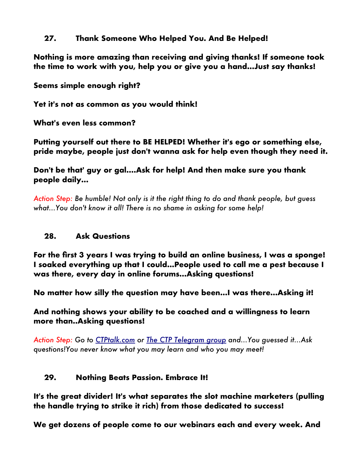#### **27. Thank Someone Who Helped You. And Be Helped!**

**Nothing is more amazing than receiving and giving thanks! If someone took the time to work with you, help you or give you a hand...Just say thanks!**

**Seems simple enough right?**

**Yet it's not as common as you would think!**

**What's even less common?**

**Putting yourself out there to BE HELPED! Whether it's ego or something else, pride maybe, people just don't wanna ask for help even though they need it.**

**Don't be that' guy or gal....Ask for help! And then make sure you thank people daily...**

*Action Step: Be humble! Not only is it the right thing to do and thank people, but guess what...You don't know it all! There is no shame in asking for some help!*

# **28. Ask Questions**

**For the frst 3 years I was trying to build an online business, I was a sponge! I soaked everything up that I could...People used to call me a pest because I was there, every day in online forums...Asking questions!**

**No matter how silly the question may have been...I was there...Asking it!**

**And nothing shows your ability to be coached and a willingness to learn more than..Asking questions!**

*Action Step: Go to [CTPtalk.com](https://www.ctptalk.com/@markhodge) or [The CTP Telegram group](https://t.me/joinchat/H0LeUAqPVYF1abiUNcmsCg) and...You guessed it...Ask questions!You never know what you may learn and who you may meet!*

# **29. Nothing Beats Passion. Embrace It!**

**It's the great divider! It's what separates the slot machine marketers (pulling the handle trying to strike it rich) from those dedicated to success!**

**We get dozens of people come to our webinars each and every week. And**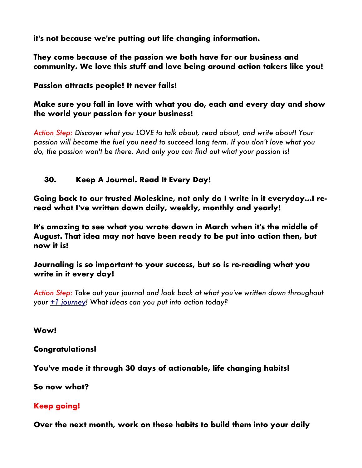**it's not because we're putting out life changing information.** 

**They come because of the passion we both have for our business and community. We love this stuff and love being around action takers like you!**

**Passion attracts people! It never fails!**

**Make sure you fall in love with what you do, each and every day and show the world your passion for your business!**

*Action Step: Discover what you LOVE to talk about, read about, and write about! Your passion will become the fuel you need to succeed long term. If you don't love what you do, the passion won't be there. And only you can fnd out what your passion is!*

### **30. Keep A Journal. Read It Every Day!**

**Going back to our trusted Moleskine, not only do I write in it everyday...I reread what I've written down daily, weekly, monthly and yearly!**

**It's amazing to see what you wrote down in March when it's the middle of August. That idea may not have been ready to be put into action then, but now it is!**

**Journaling is so important to your success, but so is re-reading what you write in it every day!**

*Action Step: Take out your journal and look back at what you've written down throughout your [+1 journey!](https://plus1success.com/hodgeinoz) What ideas can you put into action today?*

**Wow!**

**Congratulations!**

**You've made it through 30 days of actionable, life changing habits!**

**So now what?**

# **Keep going!**

**Over the next month, work on these habits to build them into your daily**